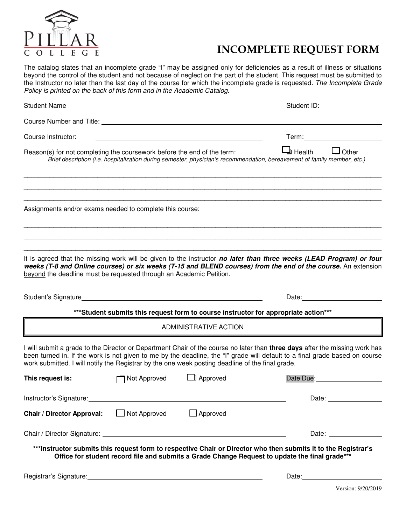

## **INCOMPLETE REQUEST FORM**

The catalog states that an incomplete grade "I" may be assigned only for deficiencies as a result of illness or situations beyond the control of the student and not because of neglect on the part of the student. This request must be submitted to the Instructor no later than the last day of the course for which the incomplete grade is requested. The Incomplete Grade Policy is printed on the back of this form and in the Academic Catalog.

|                                                                                                                                                                                                                                |              |                                                                                                                       | Student ID: Student ID:                                                                                                                                                                                                                                    |
|--------------------------------------------------------------------------------------------------------------------------------------------------------------------------------------------------------------------------------|--------------|-----------------------------------------------------------------------------------------------------------------------|------------------------------------------------------------------------------------------------------------------------------------------------------------------------------------------------------------------------------------------------------------|
| Course Number and Title: Name of the Course of the Course of the Course of the Course of the Course of the Course of the Course of the Course of the Course of the Course of the Course of the Course of the Course of the Cou |              |                                                                                                                       |                                                                                                                                                                                                                                                            |
| Course Instructor:                                                                                                                                                                                                             |              |                                                                                                                       |                                                                                                                                                                                                                                                            |
| Reason(s) for not completing the coursework before the end of the term:                                                                                                                                                        |              |                                                                                                                       | $\Box$ Health $\Box$ Other<br>Brief description (i.e. hospitalization during semester, physician's recommendation, bereavement of family member, etc.)                                                                                                     |
| Assignments and/or exams needed to complete this course:                                                                                                                                                                       |              |                                                                                                                       |                                                                                                                                                                                                                                                            |
| beyond the deadline must be requested through an Academic Petition.                                                                                                                                                            |              |                                                                                                                       | It is agreed that the missing work will be given to the instructor no later than three weeks (LEAD Program) or four<br>weeks (T-8 and Online courses) or six weeks (T-15 and BLEND courses) from the end of the course. An extension                       |
|                                                                                                                                                                                                                                |              |                                                                                                                       | Date: the contract of the contract of the contract of the contract of the contract of the contract of the contract of the contract of the contract of the contract of the contract of the contract of the contract of the cont                             |
|                                                                                                                                                                                                                                |              |                                                                                                                       | *** Student submits this request form to course instructor for appropriate action***                                                                                                                                                                       |
|                                                                                                                                                                                                                                |              | ADMINISTRATIVE ACTION                                                                                                 |                                                                                                                                                                                                                                                            |
| work submitted. I will notify the Registrar by the one week posting deadline of the final grade.                                                                                                                               |              |                                                                                                                       | I will submit a grade to the Director or Department Chair of the course no later than three days after the missing work has<br>been turned in. If the work is not given to me by the deadline, the "I" grade will default to a final grade based on course |
| This request is:                                                                                                                                                                                                               | Not Approved | Approved                                                                                                              | Date Due:                                                                                                                                                                                                                                                  |
| Instructor's Signature:                                                                                                                                                                                                        |              |                                                                                                                       |                                                                                                                                                                                                                                                            |
| <b>Chair / Director Approval:</b>                                                                                                                                                                                              | Not Approved | $\Box$ Approved                                                                                                       |                                                                                                                                                                                                                                                            |
|                                                                                                                                                                                                                                |              |                                                                                                                       | Date: the contract of the contract of the contract of the contract of the contract of the contract of the contract of the contract of the contract of the contract of the contract of the contract of the contract of the cont                             |
|                                                                                                                                                                                                                                |              |                                                                                                                       | ***Instructor submits this request form to respective Chair or Director who then submits it to the Registrar's<br>Office for student record file and submits a Grade Change Request to update the final grade***                                           |
| Registrar's Signature:                                                                                                                                                                                                         |              | <u> 1980 - Johann Stoff, deutscher Stoffen und der Stoffen und der Stoffen und der Stoffen und der Stoffen und de</u> | Date:                                                                                                                                                                                                                                                      |